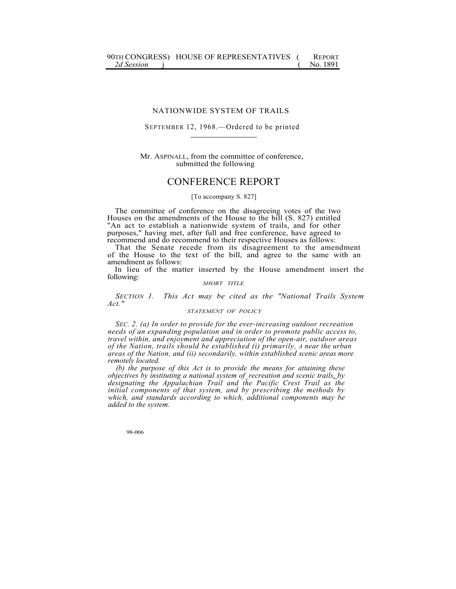# NATIONWIDE SYSTEM OF TRAILS

#### SEPTEMBER 12, 1968.—Ordered to be printed

#### Mr. ASPINALL, from the committee of conference, submitted the following

# CONFERENCE REPORT

## [To accompany S. 827]

The committee of conference on the disagreeing votes of the two Houses on the amendments of the House to the bill (S. 827) entitled "An act to establish a nationwide system of trails, and for other purposes," having met, after full and free conference, have agreed to recommend and do recommend to their respective Houses as follows:

That the Senate recede from its disagreement to the amendment of the House to the text of the bill, and agree to the same with an amendment as follows:

In lieu of the matter inserted by the House amendment insert the following:

# *SHORT TITLE*

*SECTION 1. This Act may be cited as the "National Trails System Act."*

# *STATEMENT OF POLICY*

*SEC. 2. (a) In order to provide for the ever-increasing outdoor recreation needs of an expanding population and in order to promote public access to, travel within, and enjoyment and appreciation of the open-air, outdoor areas of the Nation, trails should be established (i) primarily, A near the urban areas of the Nation, and (ii) secondarily, within established scenic areas more remotely located.*

*(b) the purpose of this Act is to provide the means for attaining these objectives by instituting a national system of\_recreation and scenic trails, by designating the Appalachian Trail and the Pacific Crest Trail as the initial components of that system, and by prescribing the methods by which, and standards according to which, additional components may be added to the system.*

98-006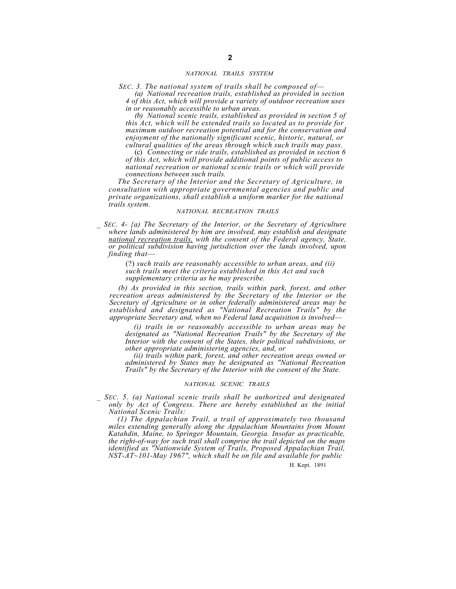## *NATIONAL TRAILS SYSTEM*

*SEC. 3. The national system of trails shall be composed of*— *(a) National recreation trails, established as provided in section 4 of this Act, which will provide a variety of outdoor recreation uses in or reasonably accessible to urban areas.* 

*(b) National scenic trails, established as provided in section 5 of this Act, which will be extended trails so located as to provide for maximum outdoor recreation potential and for the conservation and enjoyment of the nationally significant scenic, historic, natural, or cultural qualities of the areas through which such trails may pass.* 

(c) *Connecting or side trails, established as provided in section 6 of this Act, which will provide additional points of public access to national recreation or national scenic trails or which will provide connections between such trails.*

 *The Secretary of the Interior and the Secretary of Agriculture, in consultation with appropriate governmental agencies and public and private organizations, shall establish a uniform marker for the national trails system.*

#### *NATIONAL RECREATION TRAILS*

\_ *SEC. 4- {a) The Secretary of the Interior, or the Secretary of Agriculture where lands administered by him are involved, may establish and designate national recreation trails, with the consent of the Federal agency, State, or political subdivision having jurisdiction over the lands involved, upon finding that*—

(?) *such trails are reasonably accessible to urban areas, and (ii) such trails meet the criteria established in this Act and such supplementary criteria as he may prescribe.*

*(b) As provided in this section, trails within park, forest, and other recreation areas administered by the Secretary of the Interior or the Secretary of Agriculture or in other federally administered areas may be established and designated as "National Recreation Trails" by the appropriate Secretary and, when no Federal land acquisition is involved*—

*(i) trails in or reasonably accessible to urban areas may be designated as "National Recreation Trails" by the Secretary of the Interior with the consent of the States, their political subdivisions, or other appropriate administering agencies, and, or*

*(ii) trails within park, forest, and other recreation areas owned or administered by States may be designated as "National Recreation Trails" by the Secretary of the Interior with the consent of the State.*

## *NATIONAL SCENIC TRAILS*

\_ *SEC. 5. (a) National scenic trails shall be authorized and designated only by Act of Congress. There are hereby established as the initial National Scenic Trails:*

*(1) The Appalachian Trail, a trail of approximately two thousand miles extending generally along the Appalachian Mountains from Mount Katahdin, Maine, to Springer Mountain, Georgia. Insofar as practicable, the right-of-way for such trail shall comprise the trail depicted on the maps identified as "Nationwide System of Trails, Proposed Appalachian Trail, NST-AT~101-May 1967", which shall be on file and available for public*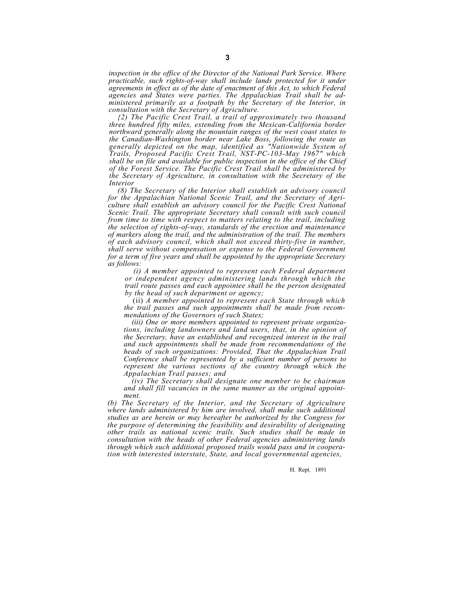*inspection in the office of the Director of the National Park Service. Where practicable, such rights-of-way shall include lands protected for it under agreements in effect as of the date of enactment of this Act, to which Federal agencies and States were parties. The Appalachian Trail shall be administered primarily as a footpath by the Secretary of the Interior, in consultation with the Secretary of Agriculture.*

*{2) The Pacific Crest Trail, a trail of approximately two thousand three hundred fifty miles, extending from the Mexican-California border northward generally along the mountain ranges of the west coast states to the Canadian-Washington border near Lake Boss, following the route as generally depicted on the map, identified as "Nationwide System of Trails, Proposed Pacific Crest Trail, NST-PC-103-May 1967" which shall be on file and available for public inspection in the office of the Chief of the Forest Service. The Pacific Crest Trail shall be administered by the Secretary of Agriculture, in consultation with the Secretary of the Interior*

*(8) The Secretary of the Interior shall establish an advisory council for the Appalachian National Scenic Trail, and the Secretary of Agriculture shall establish an advisory council for the Pacific Crest National Scenic Trail. The appropriate Secretary shall consult with such council from time to time with respect to matters relating to the trail, including the selection of rights-of-way, standards of the erection and maintenance of markers along the trail, and the administration of the trail. The members of each advisory council, which shall not exceed thirty-five in number, shall serve without compensation or expense to the Federal Government for a term of five years and shall be appointed by the appropriate Secretary as follows:*

*(i) A member appointed to represent each Federal department or independent agency administering lands through which the trail route passes and each appointee shall be the person designated by the head of such department or agency;*

(ii) *A member appointed to represent each State through which the trail passes and such appointments shall be made from recommendations of the Governors of such States;*

*(iii) One or more members appointed to represent private organizations, including landowners and land users, that, in the opinion of the Secretary, have an established and recognized interest in the trail and such appointments shall be made from recommendations of the heads of such organizations: Provided, That the Appalachian Trail Conference shall be represented by a sufficient number of persons to represent the various sections of the country through which the Appalachian Trail passes; and*

*(iv) The Secretary shall designate one member to be chairman and shall fill vacancies in the same manner as the original appointment.*

*(b) The Secretary of the Interior, and the Secretary of Agriculture where lands administered by him are involved, shall make such additional studies as are herein or may hereafter be authorized by the Congress for the purpose of determining the feasibility and desirability of designating other trails as national scenic trails. Such studies shall be made in consultation with the heads of other Federal agencies administering lands through which such additional proposed trails would pass and in cooperation with interested interstate, State, and local governmental agencies,*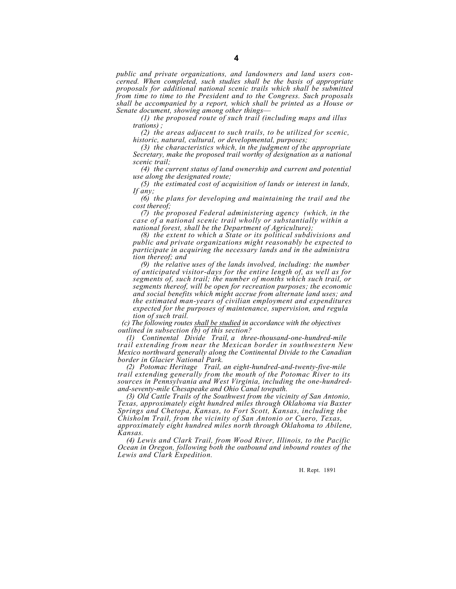*public and private organizations, and landowners and land users concerned. When completed, such studies shall be the basis of appropriate proposals for additional national scenic trails which shall be submitted from time to time to the President and to the Congress. Such proposals shall be accompanied by a report, which shall be printed as a House or Senate document, showing among other things*— *(1) the proposed route of such trail (including maps and illus* 

*trations) ;* 

*(2) the areas adjacent to such trails, to be utilized for scenic, historic, natural, cultural, or developmental, purposes;* 

*(3) the characteristics which, in the judgment of the appropriate Secretary, make the proposed trail worthy of designation as a national scenic trail;* 

*(4) the current status of land ownership and current and potential use along the designated route;* 

*(5) the estimated cost of acquisition of lands or interest in lands, If any;* 

*(6) the plans for developing and maintaining the trail and the cost thereof;* 

*(7) the proposed Federal administering agency (which, in the case of a national scenic trail wholly or substantially within a national forest, shall be the Department of Agriculture);* 

*(8) the extent to which a State or its political subdivisions and public and private organizations might reasonably be expected to participate in acquiring the necessary lands and in the administra tion thereof; and* 

*(9) the relative uses of the lands involved, including: the number of anticipated visitor-days for the entire length of, as well as for segments of, such trail; the number of months which such trail, or segments thereof, will be open for recreation purposes; the economic and social benefits which might accrue from alternate land uses; and the estimated man-years of civilian employment and expenditures expected for the purposes of maintenance, supervision, and regula tion of such trail.* 

 *(c) The following routes shall be studied in accordance with the objectives outlined in subsection (b) of this section?*

*(1) Continental Divide Trail, a three-thousand-one-hundred-mile trail extending from near the Mexican border in southwestern New Mexico northward generally along the Continental Divide to the Canadian border in Glacier National Park.*

*(2) Potomac Heritage Trail, an eight-hundred-and-twenty-five-mile trail extending generally from the mouth of the Potomac River to its sources in Pennsylvania and West Virginia, including the one-hundredand-seventy-mile Chesapeake and Ohio Canal towpath.*

*(3) Old Cattle Trails of the Southwest from the vicinity of San Antonio, Texas, approximately eight hundred miles through Oklahoma via Baxter Springs and Chetopa, Kansas, to Fort Scott, Kansas, including the Chisholm Trail, from the vicinity of San Antonio or Cuero, Texas, approximately eight hundred miles north through Oklahoma to Abilene, Kansas.* 

*(4) Lewis and Clark Trail, from Wood River, Illinois, to the Pacific Ocean in Oregon, following both the outbound and inbound routes of the Lewis and Clark Expedition.*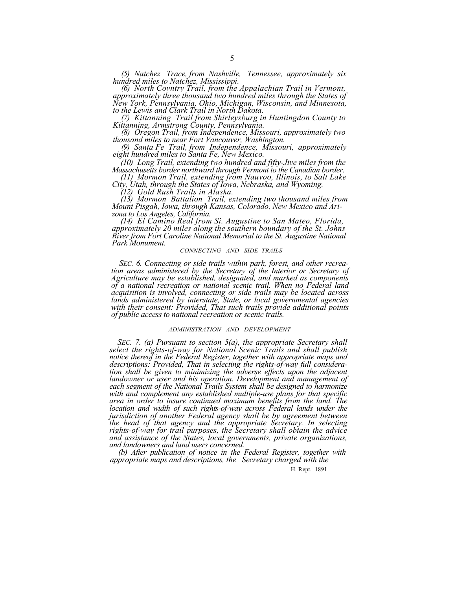(5) Natchez Trace, from Nashville, Tennessee, approximately six<br>hundred miles to Natchez, Mississippi.<br>(6) North Covntry Trail, from the Appalachian Trail in Vermont,<br>approximately three thousand two hundred miles through

*New York, Pennsylvania, Ohio, Michigan, Wisconsin, and Minnesota, to the Lewis and Clark Trail in North Dakota.* 

(7) Kittanning Trail from Shirleysburg in Huntingdon County to<br>Kittanning, Armstrong County, Pennsylvania.<br>(8) Oregon Trail, from Independence, Missouri, approximately two<br>thousand miles to near Fort Vancouver, Washington.

(10) Long Trail, extending two hundred and fifty-Jive miles from the<br>Massachusetts border northward through Vermont to the Canadian border.<br>(11) Mormon Trail, extending from Nauvoo, Illinois, to Salt Lake<br>City, Utah, throu

*Mount Pisgah, Iowa, through Kansas, Colorado, New Mexico and Ari-*<br>zona to Los Angeles, California.

*zona to Los Angeles, California. (14) El Camino Real from Si. Augustine to San Mateo, Florida, approximately 20 miles along the southern boundary of the St. Johns River from Fort Caroline National Memorial to the St. Augustine National Park Monument.* 

#### *CONNECTING AND SIDE TRAILS*

SEC. 6. Connecting or side trails within park, forest, and other recreation areas administered by the Secretary of the Interior or Secretary of Agriculture may be established, designated, and marked as components of a nati lands administered by interstate, Stale, or local governmental agencies<br>with their consent: Provided, That such trails provide additional points<br>of public access to national recreation or scenic trails.

#### *ADMINISTRATION AND DEVELOPMENT*

SEC. 7. (a) Pursuant to section  $5(a)$ , the appropriate Secretary shall select the rights-of-way for National Scenic Trails and shall publish notice thereof in the Federal Register, together with appropriate maps and descr *each segment of the National Trails System shall be designed to harmonize with and complement any established multiple-use plans for that specific area in order to insure continued maximum benefits from the land. The location and width of such rights-of-way across Federal lands under the jurisdiction of another Federal agency shall be by agreement between the head of that agency and the appropriate Secretary. In selecting rights-of-way for trail purposes, the Secretary shall obtain the advice and assistance of the States, local governments, private organizations, and landowners and land users concerned.*

*(b) After publication of notice in the Federal Register, together with appropriate maps and descriptions, the Secretary charged with the*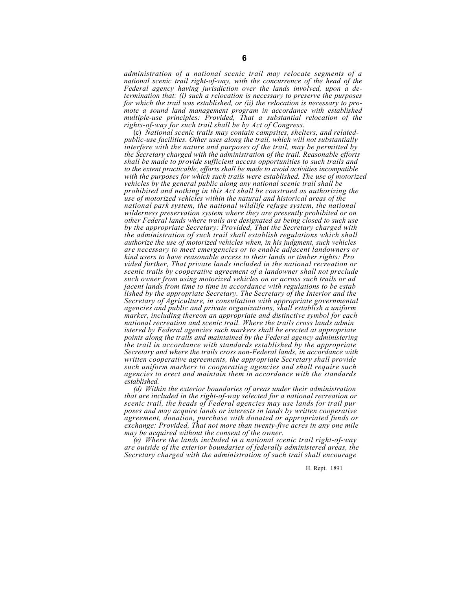*administration of a national scenic trail may relocate segments of a national scenic trail right-of-way, with the concurrence of the head of the Federal agency having jurisdiction over the lands involved, upon a determination that: (i) such a relocation is necessary to preserve the purposes for which the trail was established, or (ii) the relocation is necessary to promote a sound land management program in accordance with established multiple-use principles: Provided, That a substantial relocation of the rights-of-way for such trail shall be by Act of Congress.*

(c) *National scenic trails may contain campsites, shelters, and relatedpublic-use facilities. Other uses along the trail, which will not substantially interfere with the nature and purposes of the trail, may be permitted by the Secretary charged with the administration of the trail. Reasonable efforts shall be made to provide sufficient access opportunities to such trails and to the extent practicable, efforts shall be made to avoid activities incompatible with the purposes for which such trails were established. The use of motorized vehicles by the general public along any national scenic trail shall be prohibited and nothing in this Act shall be construed as authorizing the use of motorized vehicles within the natural and historical areas of the national park system, the national wildlife refuge system, the national wilderness preservation system where they are presently prohibited or on other Federal lands where trails are designated as being closed to such use by the appropriate Secretary: Provided, That the Secretary charged with the administration of such trail shall establish regulations which shall authorize the use of motorized vehicles when, in his judgment, such vehicles are necessary to meet emergencies or to enable adjacent landowners or kind users to have reasonable access to their lands or timber rights: Pro vided further, That private lands included in the national recreation or scenic trails by cooperative agreement of a landowner shall not preclude such owner from using motorized vehicles on or across such trails or ad jacent lands from time to time in accordance with regulations to be estab lished by the appropriate Secretary. The Secretary of the Interior and the Secretary of Agriculture, in consultation with appropriate governmental agencies and public and private organizations, shall establish a uniform marker, including thereon an appropriate and distinctive symbol for each national recreation and scenic trail. Where the trails cross lands admin istered by Federal agencies such markers shall be erected at appropriate points along the trails and maintained by the Federal agency administering the trail in accordance with standards established by the appropriate Secretary and where the trails cross non-Federal lands, in accordance with written cooperative agreements, the appropriate Secretary shall provide such uniform markers to cooperating agencies and shall require such agencies to erect and maintain them in accordance with the standards established.*

*(d) Within the exterior boundaries of areas under their administration that are included in the right-of-way selected for a national recreation or scenic trail, the heads of Federal agencies may use lands for trail pur poses and may acquire lands or interests in lands by written cooperative agreement, donation, purchase with donated or appropriated funds or exchange: Provided, That not more than twenty-five acres in any one mile may be acquired without the consent of the owner.* 

*(e) Where the lands included in a national scenic trail right-of-way are outside of the exterior boundaries of federally administered areas, the Secretary charged with the administration of such trail shall encourage*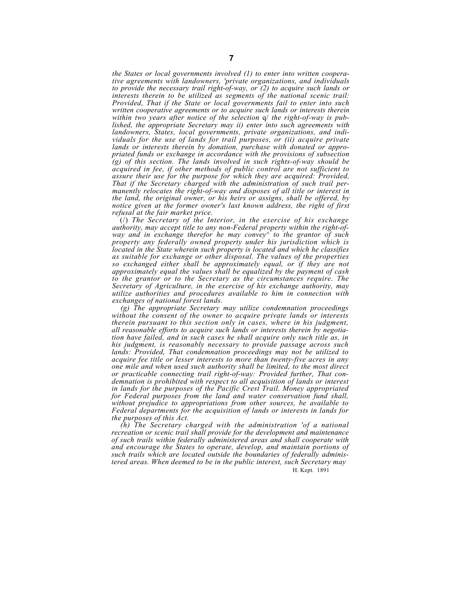*the States or local governments involved (1) to enter into written cooperative agreements with landowners, 'private organizations, and individuals to provide the necessary trail right-of-way, or (2) to acquire such lands or interests therein to be utilized as segments of the national scenic trail: Provided, That if the State or local governments fail to enter into such written cooperative agreements or to acquire such lands or interests therein*  within two years after notice of the selection  $q$  the right-of-way is pub*lished, the appropriate Secretary may ii) enter into such agreements with landowners, States, local governments, private organizations, and individuals for the use of lands for trail purposes, or (ii) acquire private lands or interests therein by donation, purchase with donated or appropriated funds or exchange in accordance with the provisions of subsection (g) of this section. The lands involved in such rights-of-way should be acquired in fee, if other methods of public control are not sufficient to assure their use for the purpose for which they are acquired: Provided, That if the Secretary charged with the administration of such trail permanently relocates the right-of-way and disposes of all title or interest in the land, the original owner, or his heirs or assigns, shall be offered, by notice given at the former owner's last known address, the right of first refusal at the fair market price.*

(/) *The Secretary of the Interior, in the exercise of his exchange authority, may accept title to any non-Federal property within the right-ofway and in exchange therefor he may convey^ to the grantor of such property any federally owned property under his jurisdiction which is located in the State wherein such property is located and which he classifies as suitable for exchange or other disposal. The values of the properties so exchanged either shall be approximately equal, or if they are not approximately equal the values shall be equalized by the payment of cash to the grantor or to the Secretary as the circumstances require. The Secretary of Agriculture, in the exercise of his exchange authority, may utilize authorities and procedures available to him in connection with exchanges of national forest lands.*

*(g) The appropriate Secretary may utilize condemnation proceedings without the consent of the owner to acquire private lands or interests therein pursuant to this section only in cases, where in his judgment, all reasonable efforts to acquire such lands or interests therein by negotiation have failed, and in such cases he shall acquire only such title as, in his judgment, is reasonably necessary to provide passage across such lands: Provided, That condemnation proceedings may not be utilized to acquire fee title or lesser interests to more than twenty-five acres in any one mile and when used such authority shall be limited, to the most direct or practicable connecting trail right-of-way: Provided further, That condemnation is prohibited with respect to all acquisition of lands or interest in lands for the purposes of the Pacific Crest Trail. Money appropriated for Federal purposes from the land and water conservation fund shall, without prejudice to appropriations from other sources, be available to Federal departments for the acquisition of lands or interests in lands for the purposes of this Act.*

*(h) The Secretary charged with the administration 'of a national recreation or scenic trail shall provide for the development and maintenance of such trails within federally administered areas and shall cooperate with and encourage the States to operate, develop, and maintain portions of such trails which are located outside the boundaries of federally administered areas. When deemed to be in the public interest, such Secretary may*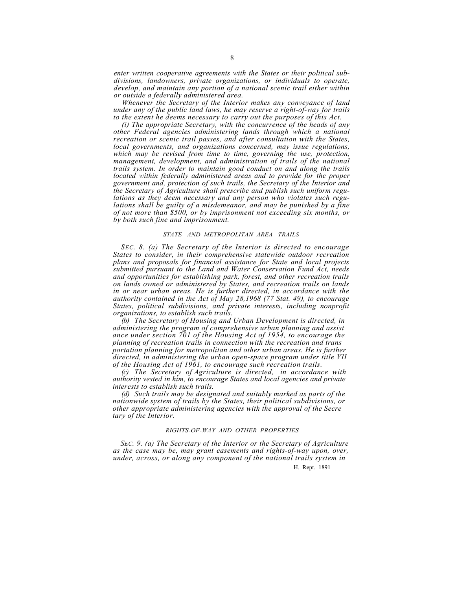*enter written cooperative agreements with the States or their political subdivisions, landowners, private organizations, or individuals to operate, develop, and maintain any portion of a national scenic trail either within or outside a federally administered area.*

*Whenever the Secretary of the Interior makes any conveyance of land under any of the public land laws, he may reserve a right-of-way for trails to the extent he deems necessary to carry out the purposes of this Act.*

*(i) The appropriate Secretary, with the concurrence of the heads of any other Federal agencies administering lands through which a national recreation or scenic trail passes, and after consultation with the States, local governments, and organizations concerned, may issue regulations, which may be revised from time to time, governing the use, protection, management, development, and administration of trails of the national trails system. In order to maintain good conduct on and along the trails located within federally administered areas and to provide for the proper government and, protection of such trails, the Secretary of the Interior and the Secretary of Agriculture shall prescribe and publish such uniform regulations as they deem necessary and any person who violates such regulations shall be guilty of a misdemeanor, and may be punished by a fine of not more than \$500, or by imprisonment not exceeding six months, or by both such fine and imprisonment.*

## *STATE AND METROPOLITAN AREA TRAILS*

*SEC. 8. (a) The Secretary of the Interior is directed to encourage States to consider, in their comprehensive statewide outdoor recreation plans and proposals for financial assistance for State and local projects submitted pursuant to the Land and Water Conservation Fund Act, needs and opportunities for establishing park, forest, and other recreation trails on lands owned or administered by States, and recreation trails on lands in or near urban areas. He is further directed, in accordance with the authority contained in the Act of May 28,1968 (77 Stat. 49), to encourage States, political subdivisions, and private interests, including nonprofit organizations, to establish such trails.*

*(b) The Secretary of Housing and Urban Development is directed, in administering the program of comprehensive urban planning and assist ance under section 701 of the Housing Act of 1954, to encourage the planning of recreation trails in connection with the recreation and trans portation planning for metropolitan and other urban areas. He is further directed, in administering the urban open-space program under title VII of the Housing Act of 1961, to encourage such recreation trails.* 

*(c) The Secretary of Agriculture is directed, in accordance with authority vested in him, to encourage States and local agencies and private interests to establish such trails.* 

*(d) Such trails may be designated and suitably marked as parts of the nationwide system of trails by the States, their political subdivisions, or other appropriate administering agencies with the approval of the Secre tary of the Interior.* 

## *RIGHTS-OF-WAY AND OTHER PROPERTIES*

*SEC. 9. (a) The Secretary of the Interior or the Secretary of Agriculture as the case may be, may grant easements and rights-of-way upon, over, under, across, or along any component of the national trails system in*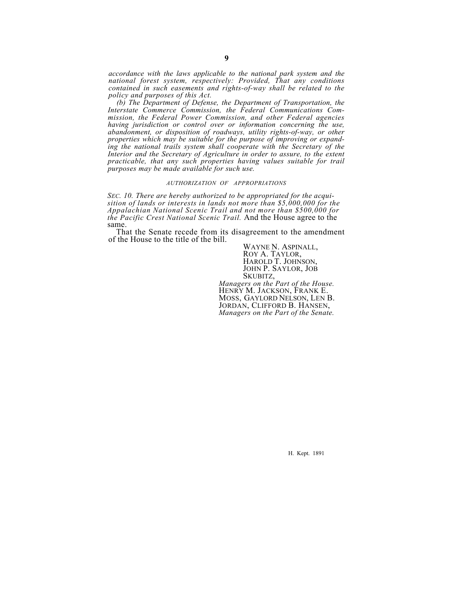*accordance with the laws applicable to the national park system and the national forest system, respectively: Provided, That any conditions contained in such easements and rights-of-way shall be related to the policy and purposes of this Act.*

*(b) The Department of Defense, the Department of Transportation, the Interstate Commerce Commission, the Federal Communications Commission, the Federal Power Commission, and other Federal agencies having jurisdiction or control over or information concerning the use, abandonment, or disposition of roadways, utility rights-of-way, or other properties which may be suitable for the purpose of improving or expand*ing the national trails system shall cooperate with the Secretary of the *Interior and the Secretary of Agriculture in order to assure, to the extent practicable, that any such properties having values suitable for trail purposes may be made available for such use.*

#### *AUTHORIZATION OF APPROPRIATIONS*

*SEC. 10. There are hereby authorized to be appropriated for the acquisition of lands or interests in lands not more than \$5,000,000 for the Appalachian National Scenic Trail and not more than \$500,000 for the Pacific Crest National Scenic Trail.* And the House agree to the same.

That the Senate recede from its disagreement to the amendment of the House to the title of the bill.<br>WAYNE N. ASPINALL,

ROY A. TAYLOR,<br>HAROLD T. JOHNSON,<br>JOHN P. SAYLOR, JOB<br>SKUBITZ, Managers on the Part of the House. HENRY M. JACKSON, FRANK E. MOSS, GAYLORD NELSON, LEN B.<br>JORDAN, CLIFFORD B. HANSEN, Managers on the Part of the Senate.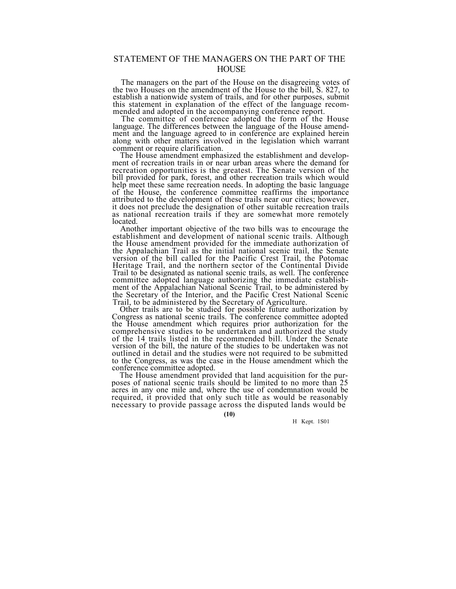# STATEMENT OF THE MANAGERS ON THE PART OF THE **HOUSE**

The managers on the part of the House on the disagreeing votes of the two Houses on the amendment of the House to the bill, S. 827, to establish a nationwide system of trails, and for other purposes, submit this statement in explanation of the effect of the language recom-<br>mended and adopted in the accompanying conference report.

The committee of conference adopted the form of the House language. The differences between the language of the House amendment and the language agreed to in conference are explained herein along with other matters involved in the legislation which warrant

comment or require clarification. The House amendment emphasized the establishment and develop- ment of recreation trails in or near urban areas where the demand for recreation opportunities is the greatest. The Senate version of the bill provided for park, forest, and other recreation trails which would help meet these same recreation needs. In adopting the basic language of the House, the conference committee reaffirms the importance attributed to the development of these trails near our cities; however, it does not preclude the designation of other suitable recreation trails as national recreation trails if they are somewhat more remotely

located.<br>Another important objective of the two bills was to encourage the establishment and development of national scenic trails. Although the House amendment provided for the immediate authorization of the Appalachian Trail as the initial national scenic trail, the Senate version of the bill called for the Pacific Crest Trail, the Potomac Heritage Trail, and the northern sector of the Continental Divide Trail to be designated as national scenic trails, as well. The conference committee adopted language authorizing the immediate establish- ment of the Appalachian National Scenic Trail, to be administered by the Secretary of the Interior, and the Pacific Crest National Scenic Trail, to be administered by the Secretary of Agriculture.

Other trails are to be studied for possible future authorization by Congress as national scenic trails. The conference committee adopted Congress as national scenic trails. The conference committee adopted the House amendment which requires prior authorization for the comprehensive studies to be undertaken and authorized the study of the 14 trails listed in the recommended bill. Under the Senate version of the bill, the nature of the studies to be undertaken was not to the Congress, as was the case in the House amendment which the conference committee adopted.

The House amendment provided that land acquisition for the pur-<br>poses of national scenic trails should be limited to no more than 25 acres in any one mile and, where the use of condemnation would be required, it provided that only such title as would be reasonably necessary to provide passage across the disputed lands would be

**(10)**

H Kept. 1S01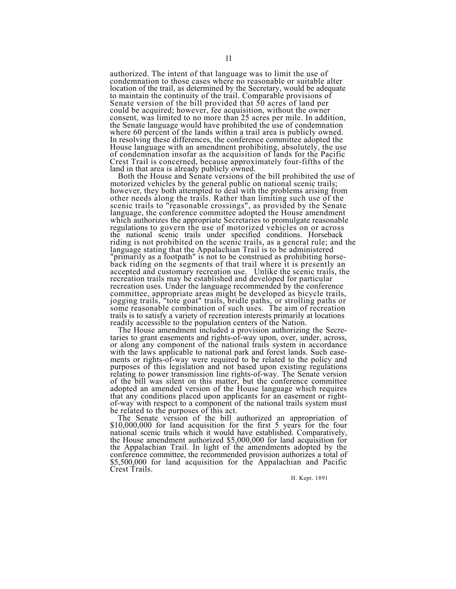authorized. The intent of that language was to limit the use of condemnation to those cases where no reasonable or suitable alter location of the trail, as determined by the Secretary, would be adequate to maintain the continuity of the trail. Comparable provisions of Senate version of the bill provided that 50 acres of land per could be acquired; however, fee acquisition, without the owner consent, was limited to no more than 25 acres per mile. In addition, the Senate language would have prohibited the use of condemnation where 60 percent of the lands within a trail area is publicly owned. In resolving these differences, the conference committee adopted the House language with an amendment prohibiting, absolutely, the use of condemnation insofar as the acquisition of lands for the Pacific

land in that area is already publicly owned.<br>Both the House and Senate versions of the bill prohibited the use of motorized vehicles by the general public on national scenic trails;<br>however, they both attempted to deal wit scenic trails to "reasonable crossings", as provided by the Senate language, the conference committee adopted the House amendment which authorizes the appropriate Secretaries to promulgate reasonable regulations to govern the use of motorized vehicles on or across the national scenic trails under specified conditions. Horseback riding is not prohibited on the scenic trails, as a general rule; and the riding is not prohibited on the scenic trails, as a general rule; and the language stating that the Appalachian Trail is to be administered "primarily as a footpath" is not to be construed as prohibiting horseback riding on the segments of that trail where it is presently an accepted and customary recreation use. Unlike the scenic trails, the recreation trails may be established and developed for particular recreation uses. Under the language recommended by the conference recreation uses. Under the language recommended by the conference committee, appropriate areas might be developed as bicycle trails, jogging trails, "tote goat" trails, bridle paths, or strolling paths or some reasonable combination of such uses. The aim of recreation trails is to satisfy a variety of recreation interests primarily at locations

The House amendment included a provision authorizing the Secretaries to grant easements and rights-of-way upon, over, under, across, or along any component of the national trails system in accordance with the laws applicable to national park and forest lands. Such easements or rights-of-way were required to be related to the policy and purposes of this legislation and not based upon existing regulations relating to power transmission line rights-of-way. The Senate version of the bill was silent on this matter, but the conference committee adopted an amended version of the House language which requires that any conditions placed upon applicants for an easement or right- of-way with respect to a component of the national trails system must be related to the p

The Senate version of the bill authorized an appropriation of \$10,000,000 for land acquisition for the first 5 years for the four national scenic trails which it would have established. Comparatively, the House amendment authorized \$5,000,000 for land acquisition for the Appalachian Trail. In light of the amendments adopted by the conference committee, the recommended provision authorizes a total of \$5,500,000 for land acquisition for the Appalachian and Pacific Crest Trails.